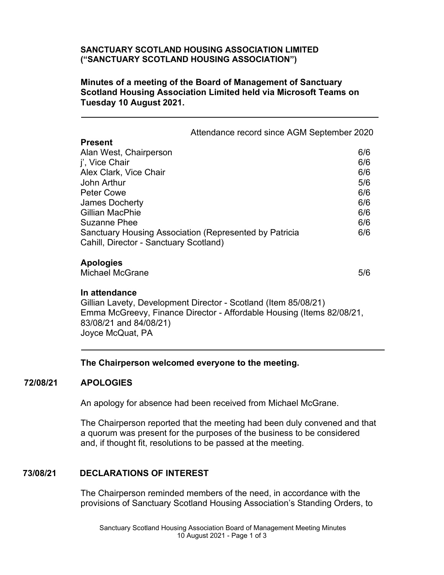#### **SANCTUARY SCOTLAND HOUSING ASSOCIATION LIMITED ("SANCTUARY SCOTLAND HOUSING ASSOCIATION")**

#### **Minutes of a meeting of the Board of Management of Sanctuary Scotland Housing Association Limited held via Microsoft Teams on Tuesday 10 August 2021.**

|                                            | Attendance record since AGM September 2020                            |     |
|--------------------------------------------|-----------------------------------------------------------------------|-----|
| <b>Present</b>                             |                                                                       |     |
| Alan West, Chairperson                     |                                                                       | 6/6 |
| j', Vice Chair                             |                                                                       | 6/6 |
| Alex Clark, Vice Chair                     |                                                                       | 6/6 |
| John Arthur                                |                                                                       | 5/6 |
| <b>Peter Cowe</b>                          |                                                                       | 6/6 |
| <b>James Docherty</b>                      |                                                                       | 6/6 |
| <b>Gillian MacPhie</b>                     |                                                                       | 6/6 |
| Suzanne Phee                               |                                                                       | 6/6 |
| Cahill, Director - Sanctuary Scotland)     | Sanctuary Housing Association (Represented by Patricia                | 6/6 |
| <b>Apologies</b>                           |                                                                       |     |
| <b>Michael McGrane</b>                     |                                                                       | 5/6 |
| In attendance                              | Gillian Lavety, Development Director - Scotland (Item 85/08/21)       |     |
| 83/08/21 and 84/08/21)<br>Joyce McQuat, PA | Emma McGreevy, Finance Director - Affordable Housing (Items 82/08/21, |     |

#### **The Chairperson welcomed everyone to the meeting.**

#### **72/08/21 APOLOGIES**

An apology for absence had been received from Michael McGrane.

The Chairperson reported that the meeting had been duly convened and that a quorum was present for the purposes of the business to be considered and, if thought fit, resolutions to be passed at the meeting.

## **73/08/21 DECLARATIONS OF INTEREST**

The Chairperson reminded members of the need, in accordance with the provisions of Sanctuary Scotland Housing Association's Standing Orders, to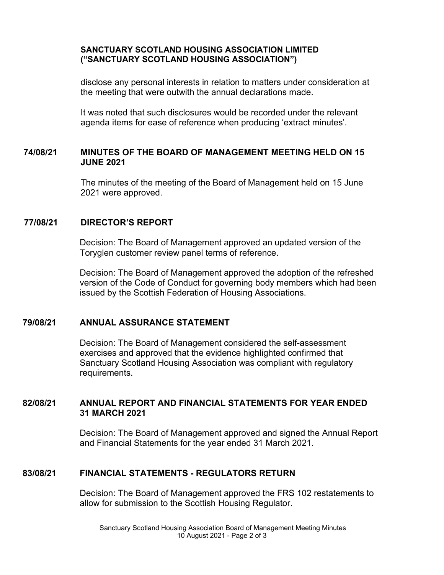### **SANCTUARY SCOTLAND HOUSING ASSOCIATION LIMITED ("SANCTUARY SCOTLAND HOUSING ASSOCIATION")**

disclose any personal interests in relation to matters under consideration at the meeting that were outwith the annual declarations made.

It was noted that such disclosures would be recorded under the relevant agenda items for ease of reference when producing 'extract minutes'.

### **74/08/21 MINUTES OF THE BOARD OF MANAGEMENT MEETING HELD ON 15 JUNE 2021**

The minutes of the meeting of the Board of Management held on 15 June 2021 were approved.

### **77/08/21 DIRECTOR'S REPORT**

Decision: The Board of Management approved an updated version of the Toryglen customer review panel terms of reference.

Decision: The Board of Management approved the adoption of the refreshed version of the Code of Conduct for governing body members which had been issued by the Scottish Federation of Housing Associations.

### **79/08/21 ANNUAL ASSURANCE STATEMENT**

Decision: The Board of Management considered the self-assessment exercises and approved that the evidence highlighted confirmed that Sanctuary Scotland Housing Association was compliant with regulatory requirements.

### **82/08/21 ANNUAL REPORT AND FINANCIAL STATEMENTS FOR YEAR ENDED 31 MARCH 2021**

Decision: The Board of Management approved and signed the Annual Report and Financial Statements for the year ended 31 March 2021.

### **83/08/21 FINANCIAL STATEMENTS - REGULATORS RETURN**

Decision: The Board of Management approved the FRS 102 restatements to allow for submission to the Scottish Housing Regulator.